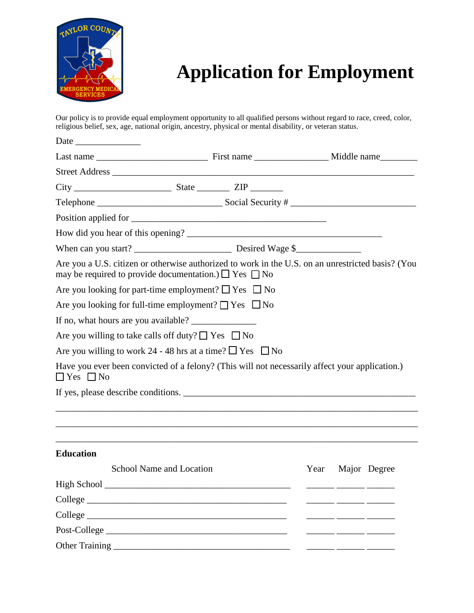

## **Application for Employment**

Our policy is to provide equal employment opportunity to all qualified persons without regard to race, creed, color, religious belief, sex, age, national origin, ancestry, physical or mental disability, or veteran status.

| Date                                                                                                                                                                 |                          |  |      |  |              |  |  |  |
|----------------------------------------------------------------------------------------------------------------------------------------------------------------------|--------------------------|--|------|--|--------------|--|--|--|
|                                                                                                                                                                      |                          |  |      |  |              |  |  |  |
|                                                                                                                                                                      |                          |  |      |  |              |  |  |  |
|                                                                                                                                                                      |                          |  |      |  |              |  |  |  |
|                                                                                                                                                                      |                          |  |      |  |              |  |  |  |
|                                                                                                                                                                      |                          |  |      |  |              |  |  |  |
|                                                                                                                                                                      |                          |  |      |  |              |  |  |  |
|                                                                                                                                                                      |                          |  |      |  |              |  |  |  |
| Are you a U.S. citizen or otherwise authorized to work in the U.S. on an unrestricted basis? (You<br>may be required to provide documentation.) $\Box$ Yes $\Box$ No |                          |  |      |  |              |  |  |  |
| Are you looking for part-time employment? $\Box$ Yes $\Box$ No                                                                                                       |                          |  |      |  |              |  |  |  |
| Are you looking for full-time employment? $\Box$ Yes $\Box$ No                                                                                                       |                          |  |      |  |              |  |  |  |
|                                                                                                                                                                      |                          |  |      |  |              |  |  |  |
| Are you willing to take calls off duty? $\Box$ Yes $\Box$ No                                                                                                         |                          |  |      |  |              |  |  |  |
| Are you willing to work 24 - 48 hrs at a time? $\Box$ Yes $\Box$ No                                                                                                  |                          |  |      |  |              |  |  |  |
| Have you ever been convicted of a felony? (This will not necessarily affect your application.)<br>$\Box$ Yes $\Box$ No                                               |                          |  |      |  |              |  |  |  |
| If yes, please describe conditions.                                                                                                                                  |                          |  |      |  |              |  |  |  |
|                                                                                                                                                                      |                          |  |      |  |              |  |  |  |
| <b>Education</b>                                                                                                                                                     |                          |  |      |  |              |  |  |  |
|                                                                                                                                                                      | School Name and Location |  | Year |  | Major Degree |  |  |  |
|                                                                                                                                                                      |                          |  |      |  |              |  |  |  |
|                                                                                                                                                                      |                          |  |      |  |              |  |  |  |
| College                                                                                                                                                              |                          |  |      |  |              |  |  |  |
|                                                                                                                                                                      |                          |  |      |  |              |  |  |  |
|                                                                                                                                                                      |                          |  |      |  |              |  |  |  |
|                                                                                                                                                                      |                          |  |      |  |              |  |  |  |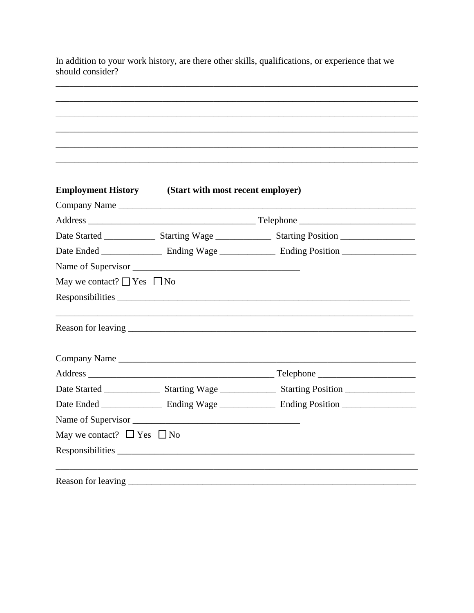In addition to your work history, are there other skills, qualifications, or experience that we should consider?

|                                      | <b>Employment History</b> (Start with most recent employer)<br>Company Name                          |  |
|--------------------------------------|------------------------------------------------------------------------------------------------------|--|
|                                      |                                                                                                      |  |
|                                      | Date Started _________________ Starting Wage ________________ Starting Position ____________________ |  |
|                                      |                                                                                                      |  |
|                                      |                                                                                                      |  |
| May we contact? $\Box$ Yes $\Box$ No |                                                                                                      |  |
|                                      |                                                                                                      |  |
|                                      |                                                                                                      |  |
|                                      |                                                                                                      |  |
|                                      |                                                                                                      |  |
|                                      | Date Started __________________ Starting Wage _________________ Starting Position __________________ |  |
|                                      |                                                                                                      |  |
|                                      |                                                                                                      |  |
| May we contact? $\Box$ Yes $\Box$ No |                                                                                                      |  |
|                                      | Responsibilities                                                                                     |  |
| Reason for leaving __                |                                                                                                      |  |